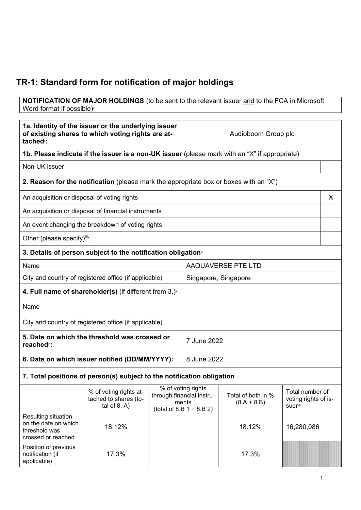## **TR-1: Standard form for notification of major holdings**

**NOTIFICATION OF MAJOR HOLDINGS** (to be sent to the relevant issuer and to the FCA in Microsoft Word format if possible)

| 1a. Identity of the issuer or the underlying issuer<br>of existing shares to which voting rights are at-<br>tached <sup>"</sup> : |                                                                                               | Audioboom Group plc |                                                                                         |                                     |                                                    |   |
|-----------------------------------------------------------------------------------------------------------------------------------|-----------------------------------------------------------------------------------------------|---------------------|-----------------------------------------------------------------------------------------|-------------------------------------|----------------------------------------------------|---|
|                                                                                                                                   | 1b. Please indicate if the issuer is a non-UK issuer (please mark with an "X" if appropriate) |                     |                                                                                         |                                     |                                                    |   |
| Non-UK issuer                                                                                                                     |                                                                                               |                     |                                                                                         |                                     |                                                    |   |
|                                                                                                                                   | <b>2. Reason for the notification</b> (please mark the appropriate box or boxes with an "X")  |                     |                                                                                         |                                     |                                                    |   |
|                                                                                                                                   | An acquisition or disposal of voting rights                                                   |                     |                                                                                         |                                     |                                                    | X |
|                                                                                                                                   | An acquisition or disposal of financial instruments                                           |                     |                                                                                         |                                     |                                                    |   |
|                                                                                                                                   | An event changing the breakdown of voting rights                                              |                     |                                                                                         |                                     |                                                    |   |
| Other (please specify) <sup>iii</sup> :                                                                                           |                                                                                               |                     |                                                                                         |                                     |                                                    |   |
|                                                                                                                                   | 3. Details of person subject to the notification obligation <sup>®</sup>                      |                     |                                                                                         |                                     |                                                    |   |
| Name                                                                                                                              |                                                                                               |                     | AAQUAVERSE PTE LTD                                                                      |                                     |                                                    |   |
| City and country of registered office (if applicable)                                                                             |                                                                                               |                     | Singapore, Singapore                                                                    |                                     |                                                    |   |
|                                                                                                                                   | 4. Full name of shareholder(s) (if different from $3.$ ) $\check{ }$                          |                     |                                                                                         |                                     |                                                    |   |
| Name                                                                                                                              |                                                                                               |                     |                                                                                         |                                     |                                                    |   |
| City and country of registered office (if applicable)                                                                             |                                                                                               |                     |                                                                                         |                                     |                                                    |   |
| reached <sup>vi</sup> :                                                                                                           | 5. Date on which the threshold was crossed or                                                 |                     | 7 June 2022                                                                             |                                     |                                                    |   |
| 6. Date on which issuer notified (DD/MM/YYYY):                                                                                    |                                                                                               |                     | 8 June 2022                                                                             |                                     |                                                    |   |
|                                                                                                                                   | 7. Total positions of person(s) subject to the notification obligation                        |                     |                                                                                         |                                     |                                                    |   |
|                                                                                                                                   | % of voting rights at-<br>tached to shares (to-<br>tal of $8. A$ )                            |                     | % of voting rights<br>through financial instru-<br>ments<br>(total of 8.B $1 + 8.B 2$ ) | Total of both in %<br>$(8.A + 8.B)$ | Total number of<br>voting rights of is-<br>suervii |   |
| Resulting situation<br>on the date on which<br>threshold was<br>crossed or reached                                                | 18.12%                                                                                        |                     |                                                                                         | 18.12%                              | 16,280,086                                         |   |
| Position of previous<br>notification (if<br>applicable)                                                                           | 17.3%                                                                                         |                     |                                                                                         | 17.3%                               |                                                    |   |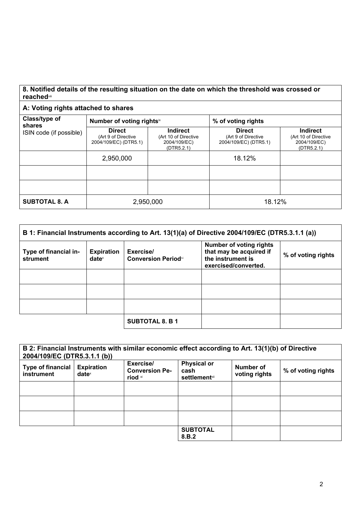## **8. Notified details of the resulting situation on the date on which the threshold was crossed or reached**viii

## **A: Voting rights attached to shares**

| Class/type of<br>shares | Number of voting rightsix                                     |                                                                       | % of voting rights                                            |                                                                       |  |
|-------------------------|---------------------------------------------------------------|-----------------------------------------------------------------------|---------------------------------------------------------------|-----------------------------------------------------------------------|--|
| ISIN code (if possible) | <b>Direct</b><br>(Art 9 of Directive<br>2004/109/EC) (DTR5.1) | <b>Indirect</b><br>(Art 10 of Directive<br>2004/109/EC)<br>(DTR5.2.1) | <b>Direct</b><br>(Art 9 of Directive<br>2004/109/EC) (DTR5.1) | <b>Indirect</b><br>(Art 10 of Directive<br>2004/109/EC)<br>(DTR5.2.1) |  |
|                         | 2,950,000                                                     |                                                                       | 18.12%                                                        |                                                                       |  |
|                         |                                                               |                                                                       |                                                               |                                                                       |  |
|                         |                                                               |                                                                       |                                                               |                                                                       |  |
| <b>SUBTOTAL 8. A</b>    |                                                               | 2,950,000                                                             | 18.12%                                                        |                                                                       |  |

| B 1: Financial Instruments according to Art. 13(1)(a) of Directive 2004/109/EC (DTR5.3.1.1 (a)) |                                        |                                         |                                                                                                        |                    |
|-------------------------------------------------------------------------------------------------|----------------------------------------|-----------------------------------------|--------------------------------------------------------------------------------------------------------|--------------------|
| Type of financial in-<br>strument                                                               | <b>Expiration</b><br>date <sup>x</sup> | Exercise/<br><b>Conversion Periodxi</b> | <b>Number of voting rights</b><br>that may be acquired if<br>the instrument is<br>exercised/converted. | % of voting rights |
|                                                                                                 |                                        |                                         |                                                                                                        |                    |
|                                                                                                 |                                        |                                         |                                                                                                        |                    |
|                                                                                                 |                                        |                                         |                                                                                                        |                    |
|                                                                                                 |                                        | <b>SUBTOTAL 8. B 1</b>                  |                                                                                                        |                    |

| 2004/109/EC (DTR5.3.1.1 (b))           |                                        | B 2: Financial Instruments with similar economic effect according to Art. 13(1)(b) of Directive |                                                     |                            |                    |
|----------------------------------------|----------------------------------------|-------------------------------------------------------------------------------------------------|-----------------------------------------------------|----------------------------|--------------------|
| <b>Type of financial</b><br>instrument | <b>Expiration</b><br>date <sup>x</sup> | Exercise/<br><b>Conversion Pe-</b><br>riod xi                                                   | <b>Physical or</b><br>cash<br><b>settlement</b> xii | Number of<br>voting rights | % of voting rights |
|                                        |                                        |                                                                                                 |                                                     |                            |                    |
|                                        |                                        |                                                                                                 |                                                     |                            |                    |
|                                        |                                        |                                                                                                 |                                                     |                            |                    |
|                                        |                                        |                                                                                                 | <b>SUBTOTAL</b><br>8.B.2                            |                            |                    |